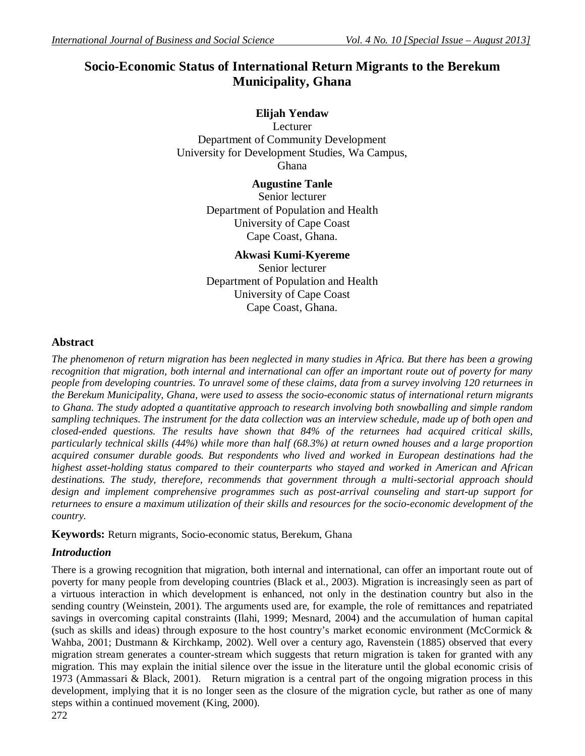# **Socio-Economic Status of International Return Migrants to the Berekum Municipality, Ghana**

# **Elijah Yendaw**

Lecturer Department of Community Development University for Development Studies, Wa Campus, Ghana

> **Augustine Tanle** Senior lecturer Department of Population and Health University of Cape Coast Cape Coast, Ghana.

## **Akwasi Kumi-Kyereme**

Senior lecturer Department of Population and Health University of Cape Coast Cape Coast, Ghana.

## **Abstract**

*The phenomenon of return migration has been neglected in many studies in Africa. But there has been a growing recognition that migration, both internal and international can offer an important route out of poverty for many people from developing countries. To unravel some of these claims, data from a survey involving 120 returnees in the Berekum Municipality, Ghana, were used to assess the socio-economic status of international return migrants to Ghana. The study adopted a quantitative approach to research involving both snowballing and simple random sampling techniques. The instrument for the data collection was an interview schedule, made up of both open and closed-ended questions. The results have shown that 84% of the returnees had acquired critical skills, particularly technical skills (44%) while more than half (68.3%) at return owned houses and a large proportion acquired consumer durable goods. But respondents who lived and worked in European destinations had the highest asset-holding status compared to their counterparts who stayed and worked in American and African destinations. The study, therefore, recommends that government through a multi-sectorial approach should design and implement comprehensive programmes such as post-arrival counseling and start-up support for returnees to ensure a maximum utilization of their skills and resources for the socio-economic development of the country.* 

## **Keywords:** Return migrants, Socio-economic status, Berekum, Ghana

## *Introduction*

There is a growing recognition that migration, both internal and international, can offer an important route out of poverty for many people from developing countries (Black et al., 2003). Migration is increasingly seen as part of a virtuous interaction in which development is enhanced, not only in the destination country but also in the sending country (Weinstein, 2001). The arguments used are, for example, the role of remittances and repatriated savings in overcoming capital constraints (Ilahi, 1999; Mesnard, 2004) and the accumulation of human capital (such as skills and ideas) through exposure to the host country's market economic environment (McCormick & Wahba, 2001; Dustmann & Kirchkamp, 2002). Well over a century ago, Ravenstein (1885) observed that every migration stream generates a counter-stream which suggests that return migration is taken for granted with any migration. This may explain the initial silence over the issue in the literature until the global economic crisis of 1973 (Ammassari & Black, 2001). Return migration is a central part of the ongoing migration process in this development, implying that it is no longer seen as the closure of the migration cycle, but rather as one of many steps within a continued movement (King, 2000).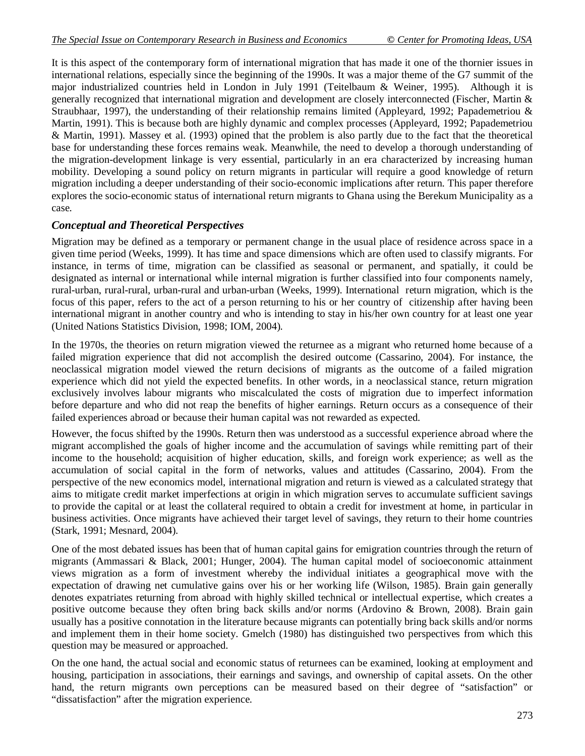It is this aspect of the contemporary form of international migration that has made it one of the thornier issues in international relations, especially since the beginning of the 1990s. It was a major theme of the G7 summit of the major industrialized countries held in London in July 1991 (Teitelbaum & Weiner, 1995). Although it is generally recognized that international migration and development are closely interconnected (Fischer, Martin & Straubhaar, 1997), the understanding of their relationship remains limited (Appleyard, 1992; Papademetriou & Martin, 1991). This is because both are highly dynamic and complex processes (Appleyard, 1992; Papademetriou & Martin, 1991). Massey et al. (1993) opined that the problem is also partly due to the fact that the theoretical base for understanding these forces remains weak. Meanwhile, the need to develop a thorough understanding of the migration-development linkage is very essential, particularly in an era characterized by increasing human mobility. Developing a sound policy on return migrants in particular will require a good knowledge of return migration including a deeper understanding of their socio-economic implications after return. This paper therefore explores the socio-economic status of international return migrants to Ghana using the Berekum Municipality as a case.

## *Conceptual and Theoretical Perspectives*

Migration may be defined as a temporary or permanent change in the usual place of residence across space in a given time period (Weeks, 1999). It has time and space dimensions which are often used to classify migrants. For instance, in terms of time, migration can be classified as seasonal or permanent, and spatially, it could be designated as internal or international while internal migration is further classified into four components namely, rural-urban, rural-rural, urban-rural and urban-urban (Weeks, 1999). International return migration, which is the focus of this paper, refers to the act of a person returning to his or her country of citizenship after having been international migrant in another country and who is intending to stay in his/her own country for at least one year (United Nations Statistics Division, 1998; IOM, 2004).

In the 1970s, the theories on return migration viewed the returnee as a migrant who returned home because of a failed migration experience that did not accomplish the desired outcome (Cassarino, 2004). For instance, the neoclassical migration model viewed the return decisions of migrants as the outcome of a failed migration experience which did not yield the expected benefits. In other words, in a neoclassical stance, return migration exclusively involves labour migrants who miscalculated the costs of migration due to imperfect information before departure and who did not reap the benefits of higher earnings. Return occurs as a consequence of their failed experiences abroad or because their human capital was not rewarded as expected.

However, the focus shifted by the 1990s. Return then was understood as a successful experience abroad where the migrant accomplished the goals of higher income and the accumulation of savings while remitting part of their income to the household; acquisition of higher education, skills, and foreign work experience; as well as the accumulation of social capital in the form of networks, values and attitudes (Cassarino, 2004). From the perspective of the new economics model, international migration and return is viewed as a calculated strategy that aims to mitigate credit market imperfections at origin in which migration serves to accumulate sufficient savings to provide the capital or at least the collateral required to obtain a credit for investment at home, in particular in business activities. Once migrants have achieved their target level of savings, they return to their home countries (Stark, 1991; Mesnard, 2004).

One of the most debated issues has been that of human capital gains for emigration countries through the return of migrants (Ammassari & Black, 2001; Hunger, 2004). The human capital model of socioeconomic attainment views migration as a form of investment whereby the individual initiates a geographical move with the expectation of drawing net cumulative gains over his or her working life (Wilson, 1985). Brain gain generally denotes expatriates returning from abroad with highly skilled technical or intellectual expertise, which creates a positive outcome because they often bring back skills and/or norms (Ardovino & Brown, 2008). Brain gain usually has a positive connotation in the literature because migrants can potentially bring back skills and/or norms and implement them in their home society. Gmelch (1980) has distinguished two perspectives from which this question may be measured or approached.

On the one hand, the actual social and economic status of returnees can be examined, looking at employment and housing, participation in associations, their earnings and savings, and ownership of capital assets. On the other hand, the return migrants own perceptions can be measured based on their degree of "satisfaction" or "dissatisfaction" after the migration experience.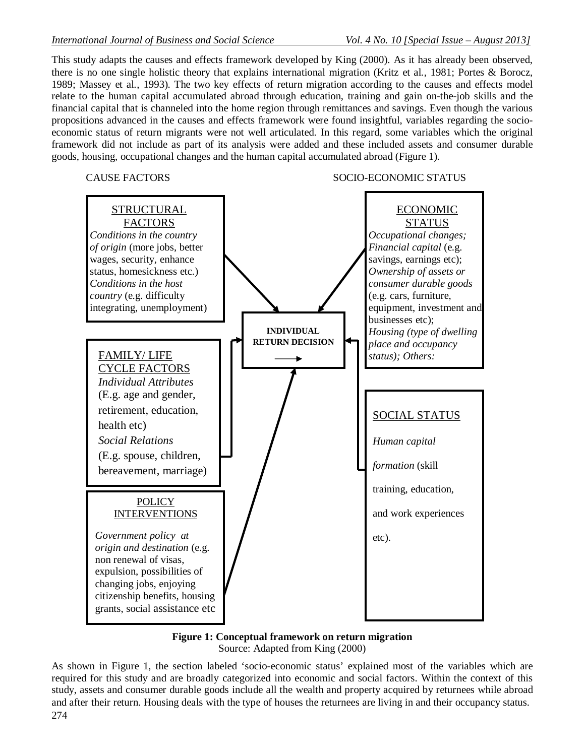This study adapts the causes and effects framework developed by King (2000). As it has already been observed, there is no one single holistic theory that explains international migration (Kritz et al*.*, 1981; Portes & Borocz, 1989; Massey et al*.*, 1993). The two key effects of return migration according to the causes and effects model relate to the human capital accumulated abroad through education, training and gain on-the-job skills and the financial capital that is channeled into the home region through remittances and savings. Even though the various propositions advanced in the causes and effects framework were found insightful, variables regarding the socioeconomic status of return migrants were not well articulated. In this regard, some variables which the original framework did not include as part of its analysis were added and these included assets and consumer durable goods, housing, occupational changes and the human capital accumulated abroad (Figure 1).

#### CAUSE FACTORS SOCIO-ECONOMIC STATUS



#### **Figure 1: Conceptual framework on return migration** Source: Adapted from King (2000)

As shown in Figure 1, the section labeled 'socio-economic status' explained most of the variables which are required for this study and are broadly categorized into economic and social factors. Within the context of this study, assets and consumer durable goods include all the wealth and property acquired by returnees while abroad and after their return. Housing deals with the type of houses the returnees are living in and their occupancy status.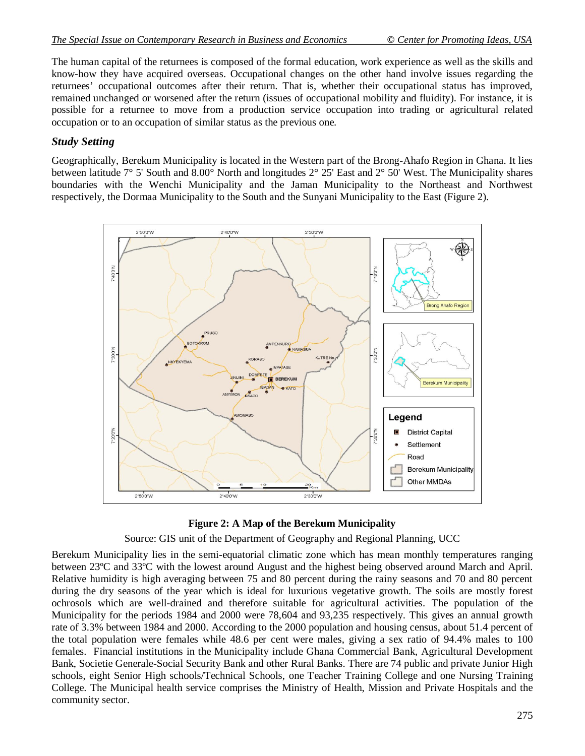The human capital of the returnees is composed of the formal education, work experience as well as the skills and know-how they have acquired overseas. Occupational changes on the other hand involve issues regarding the returnees' occupational outcomes after their return. That is, whether their occupational status has improved, remained unchanged or worsened after the return (issues of occupational mobility and fluidity). For instance, it is possible for a returnee to move from a production service occupation into trading or agricultural related occupation or to an occupation of similar status as the previous one.

## *Study Setting*

Geographically, Berekum Municipality is located in the Western part of the Brong-Ahafo Region in Ghana. It lies between latitude 7° 5' South and 8.00° North and longitudes 2° 25' East and 2° 50' West. The Municipality shares boundaries with the Wenchi Municipality and the Jaman Municipality to the Northeast and Northwest respectively, the Dormaa Municipality to the South and the Sunyani Municipality to the East (Figure 2).





Source: GIS unit of the Department of Geography and Regional Planning, UCC

Berekum Municipality lies in the semi-equatorial climatic zone which has mean monthly temperatures ranging between 23ºC and 33ºC with the lowest around August and the highest being observed around March and April. Relative humidity is high averaging between 75 and 80 percent during the rainy seasons and 70 and 80 percent during the dry seasons of the year which is ideal for luxurious vegetative growth. The soils are mostly forest ochrosols which are well-drained and therefore suitable for agricultural activities. The population of the Municipality for the periods 1984 and 2000 were 78,604 and 93,235 respectively. This gives an annual growth rate of 3.3% between 1984 and 2000. According to the 2000 population and housing census, about 51.4 percent of the total population were females while 48.6 per cent were males, giving a sex ratio of 94.4% males to 100 females. Financial institutions in the Municipality include Ghana Commercial Bank, Agricultural Development Bank, Societie Generale-Social Security Bank and other Rural Banks. There are 74 public and private Junior High schools, eight Senior High schools/Technical Schools, one Teacher Training College and one Nursing Training College. The Municipal health service comprises the Ministry of Health, Mission and Private Hospitals and the community sector.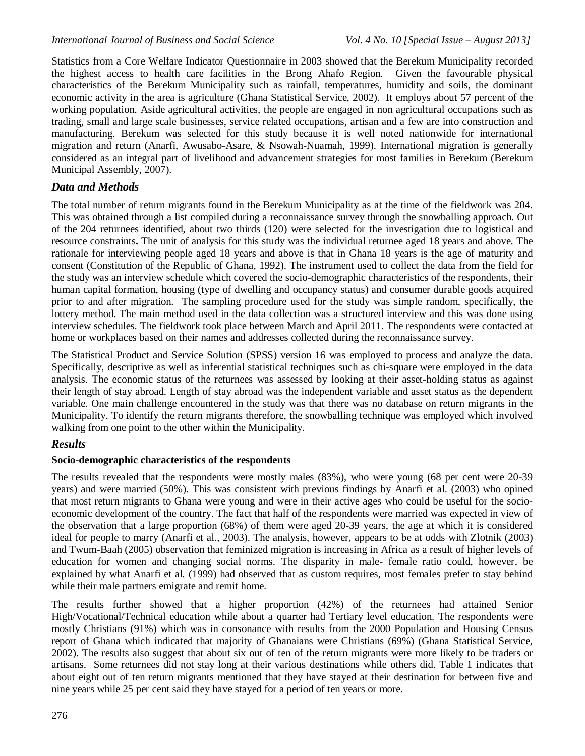Statistics from a Core Welfare Indicator Questionnaire in 2003 showed that the Berekum Municipality recorded the highest access to health care facilities in the Brong Ahafo Region. Given the favourable physical characteristics of the Berekum Municipality such as rainfall, temperatures, humidity and soils, the dominant economic activity in the area is agriculture (Ghana Statistical Service, 2002). It employs about 57 percent of the working population. Aside agricultural activities, the people are engaged in non agricultural occupations such as trading, small and large scale businesses, service related occupations, artisan and a few are into construction and manufacturing. Berekum was selected for this study because it is well noted nationwide for international migration and return (Anarfi, Awusabo-Asare, & Nsowah-Nuamah, 1999). International migration is generally considered as an integral part of livelihood and advancement strategies for most families in Berekum (Berekum Municipal Assembly, 2007).

## *Data and Methods*

The total number of return migrants found in the Berekum Municipality as at the time of the fieldwork was 204. This was obtained through a list compiled during a reconnaissance survey through the snowballing approach. Out of the 204 returnees identified, about two thirds (120) were selected for the investigation due to logistical and resource constraints**.** The unit of analysis for this study was the individual returnee aged 18 years and above. The rationale for interviewing people aged 18 years and above is that in Ghana 18 years is the age of maturity and consent (Constitution of the Republic of Ghana, 1992). The instrument used to collect the data from the field for the study was an interview schedule which covered the socio-demographic characteristics of the respondents, their human capital formation, housing (type of dwelling and occupancy status) and consumer durable goods acquired prior to and after migration. The sampling procedure used for the study was simple random, specifically, the lottery method. The main method used in the data collection was a structured interview and this was done using interview schedules. The fieldwork took place between March and April 2011. The respondents were contacted at home or workplaces based on their names and addresses collected during the reconnaissance survey.

The Statistical Product and Service Solution (SPSS) version 16 was employed to process and analyze the data. Specifically, descriptive as well as inferential statistical techniques such as chi-square were employed in the data analysis. The economic status of the returnees was assessed by looking at their asset-holding status as against their length of stay abroad. Length of stay abroad was the independent variable and asset status as the dependent variable. One main challenge encountered in the study was that there was no database on return migrants in the Municipality. To identify the return migrants therefore, the snowballing technique was employed which involved walking from one point to the other within the Municipality.

## *Results*

## **Socio-demographic characteristics of the respondents**

The results revealed that the respondents were mostly males (83%), who were young (68 per cent were 20-39 years) and were married (50%). This was consistent with previous findings by Anarfi et al. (2003) who opined that most return migrants to Ghana were young and were in their active ages who could be useful for the socioeconomic development of the country. The fact that half of the respondents were married was expected in view of the observation that a large proportion (68%) of them were aged 20-39 years, the age at which it is considered ideal for people to marry (Anarfi et al*.*, 2003). The analysis, however, appears to be at odds with Zlotnik (2003) and Twum-Baah (2005) observation that feminized migration is increasing in Africa as a result of higher levels of education for women and changing social norms. The disparity in male- female ratio could, however, be explained by what Anarfi et al*.* (1999) had observed that as custom requires, most females prefer to stay behind while their male partners emigrate and remit home.

The results further showed that a higher proportion (42%) of the returnees had attained Senior High/Vocational/Technical education while about a quarter had Tertiary level education. The respondents were mostly Christians (91%) which was in consonance with results from the 2000 Population and Housing Census report of Ghana which indicated that majority of Ghanaians were Christians (69%) (Ghana Statistical Service, 2002). The results also suggest that about six out of ten of the return migrants were more likely to be traders or artisans. Some returnees did not stay long at their various destinations while others did. Table 1 indicates that about eight out of ten return migrants mentioned that they have stayed at their destination for between five and nine years while 25 per cent said they have stayed for a period of ten years or more.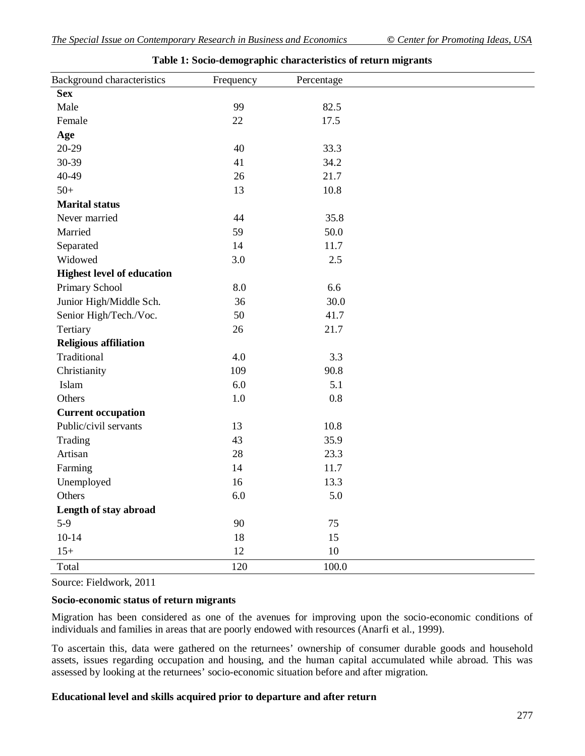| Background characteristics        | Frequency | Percentage |  |
|-----------------------------------|-----------|------------|--|
| <b>Sex</b>                        |           |            |  |
| Male                              | 99        | 82.5       |  |
| Female                            | 22        | 17.5       |  |
| Age                               |           |            |  |
| 20-29                             | 40        | 33.3       |  |
| 30-39                             | 41        | 34.2       |  |
| 40-49                             | 26        | 21.7       |  |
| $50+$                             | 13        | 10.8       |  |
| <b>Marital status</b>             |           |            |  |
| Never married                     | 44        | 35.8       |  |
| Married                           | 59        | 50.0       |  |
| Separated                         | 14        | 11.7       |  |
| Widowed                           | 3.0       | 2.5        |  |
| <b>Highest level of education</b> |           |            |  |
| Primary School                    | 8.0       | 6.6        |  |
| Junior High/Middle Sch.           | 36        | 30.0       |  |
| Senior High/Tech./Voc.            | 50        | 41.7       |  |
| Tertiary                          | 26        | 21.7       |  |
| <b>Religious affiliation</b>      |           |            |  |
| Traditional                       | 4.0       | 3.3        |  |
| Christianity                      | 109       | 90.8       |  |
| Islam                             | 6.0       | 5.1        |  |
| Others                            | $1.0\,$   | 0.8        |  |
| <b>Current occupation</b>         |           |            |  |
| Public/civil servants             | 13        | 10.8       |  |
| Trading                           | 43        | 35.9       |  |
| Artisan                           | 28        | 23.3       |  |
| Farming                           | 14        | 11.7       |  |
| Unemployed                        | 16        | 13.3       |  |
| Others                            | $6.0\,$   | $5.0\,$    |  |
| Length of stay abroad             |           |            |  |
| $5-9$                             | 90        | 75         |  |
| $10 - 14$                         | 18        | 15         |  |
| $15+$                             | 12        | $10\,$     |  |
| Total                             | 120       | 100.0      |  |

|  |  |  | Table 1: Socio-demographic characteristics of return migrants |  |  |
|--|--|--|---------------------------------------------------------------|--|--|
|  |  |  |                                                               |  |  |

Source: Fieldwork, 2011

#### **Socio-economic status of return migrants**

Migration has been considered as one of the avenues for improving upon the socio-economic conditions of individuals and families in areas that are poorly endowed with resources (Anarfi et al., 1999).

To ascertain this, data were gathered on the returnees' ownership of consumer durable goods and household assets, issues regarding occupation and housing, and the human capital accumulated while abroad. This was assessed by looking at the returnees' socio-economic situation before and after migration.

#### **Educational level and skills acquired prior to departure and after return**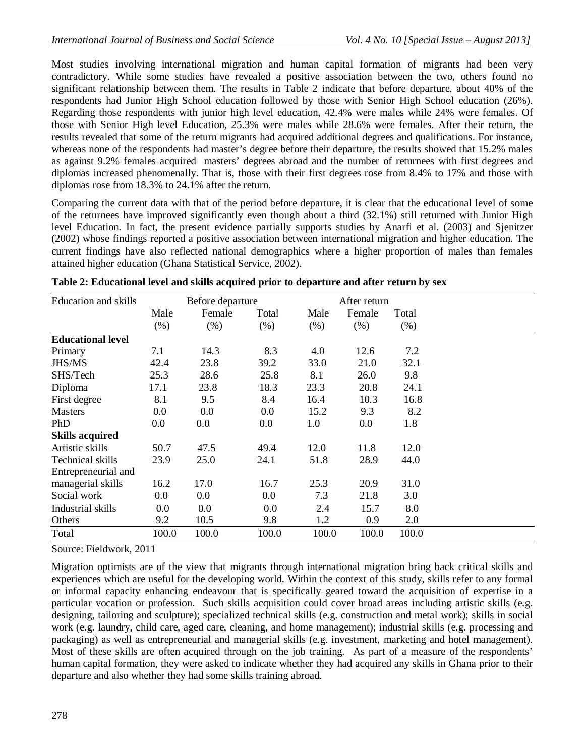Most studies involving international migration and human capital formation of migrants had been very contradictory. While some studies have revealed a positive association between the two, others found no significant relationship between them. The results in Table 2 indicate that before departure, about 40% of the respondents had Junior High School education followed by those with Senior High School education (26%). Regarding those respondents with junior high level education, 42.4% were males while 24% were females. Of those with Senior High level Education, 25.3% were males while 28.6% were females. After their return, the results revealed that some of the return migrants had acquired additional degrees and qualifications. For instance, whereas none of the respondents had master's degree before their departure, the results showed that 15.2% males as against 9.2% females acquired masters' degrees abroad and the number of returnees with first degrees and diplomas increased phenomenally. That is, those with their first degrees rose from 8.4% to 17% and those with diplomas rose from 18.3% to 24.1% after the return.

Comparing the current data with that of the period before departure, it is clear that the educational level of some of the returnees have improved significantly even though about a third (32.1%) still returned with Junior High level Education. In fact, the present evidence partially supports studies by Anarfi et al. (2003) and Sjenitzer (2002) whose findings reported a positive association between international migration and higher education. The current findings have also reflected national demographics where a higher proportion of males than females attained higher education (Ghana Statistical Service, 2002).

| <b>Education and skills</b> |         | Before departure |         |        | After return |        |  |
|-----------------------------|---------|------------------|---------|--------|--------------|--------|--|
|                             | Male    | Female           | Total   | Male   | Female       | Total  |  |
|                             | $(\% )$ | (% )             | $(\% )$ | $(\%)$ | (% )         | $(\%)$ |  |
| <b>Educational level</b>    |         |                  |         |        |              |        |  |
| Primary                     | 7.1     | 14.3             | 8.3     | 4.0    | 12.6         | 7.2    |  |
| JHS/MS                      | 42.4    | 23.8             | 39.2    | 33.0   | 21.0         | 32.1   |  |
| SHS/Tech                    | 25.3    | 28.6             | 25.8    | 8.1    | 26.0         | 9.8    |  |
| Diploma                     | 17.1    | 23.8             | 18.3    | 23.3   | 20.8         | 24.1   |  |
| First degree                | 8.1     | 9.5              | 8.4     | 16.4   | 10.3         | 16.8   |  |
| <b>Masters</b>              | 0.0     | 0.0              | 0.0     | 15.2   | 9.3          | 8.2    |  |
| PhD                         | 0.0     | 0.0              | 0.0     | 1.0    | $0.0\,$      | 1.8    |  |
| <b>Skills acquired</b>      |         |                  |         |        |              |        |  |
| Artistic skills             | 50.7    | 47.5             | 49.4    | 12.0   | 11.8         | 12.0   |  |
| Technical skills            | 23.9    | 25.0             | 24.1    | 51.8   | 28.9         | 44.0   |  |
| Entrepreneurial and         |         |                  |         |        |              |        |  |
| managerial skills           | 16.2    | 17.0             | 16.7    | 25.3   | 20.9         | 31.0   |  |
| Social work                 | $0.0\,$ | $0.0\,$          | $0.0\,$ | 7.3    | 21.8         | 3.0    |  |
| Industrial skills           | 0.0     | 0.0              | 0.0     | 2.4    | 15.7         | 8.0    |  |
| Others                      | 9.2     | 10.5             | 9.8     | 1.2    | 0.9          | 2.0    |  |
| Total                       | 100.0   | 100.0            | 100.0   | 100.0  | 100.0        | 100.0  |  |

| Table 2: Educational level and skills acquired prior to departure and after return by sex |  |  |
|-------------------------------------------------------------------------------------------|--|--|
|                                                                                           |  |  |

Source: Fieldwork, 2011

Migration optimists are of the view that migrants through international migration bring back critical skills and experiences which are useful for the developing world. Within the context of this study, skills refer to any formal or informal capacity enhancing endeavour that is specifically geared toward the acquisition of expertise in a particular vocation or profession. Such skills acquisition could cover broad areas including artistic skills (e.g. designing, tailoring and sculpture); specialized technical skills (e.g. construction and metal work); skills in social work (e.g. laundry, child care, aged care, cleaning, and home management); industrial skills (e.g. processing and packaging) as well as entrepreneurial and managerial skills (e.g. investment, marketing and hotel management). Most of these skills are often acquired through on the job training. As part of a measure of the respondents' human capital formation, they were asked to indicate whether they had acquired any skills in Ghana prior to their departure and also whether they had some skills training abroad.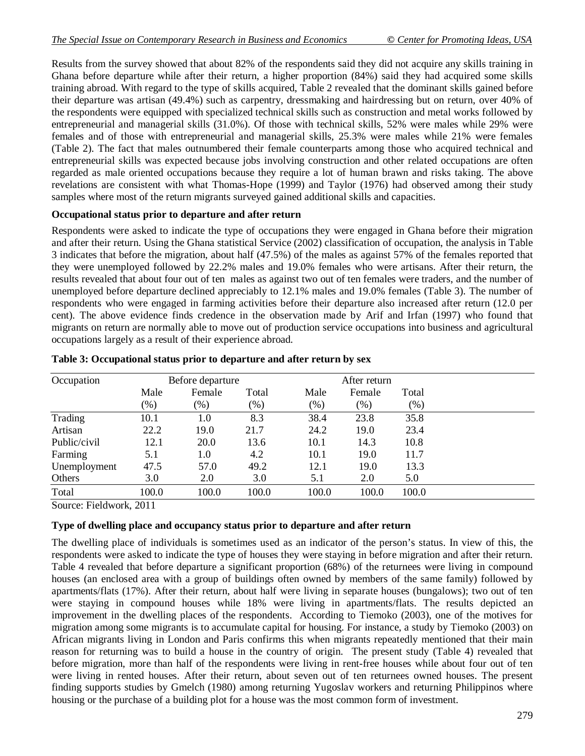Results from the survey showed that about 82% of the respondents said they did not acquire any skills training in Ghana before departure while after their return, a higher proportion (84%) said they had acquired some skills training abroad. With regard to the type of skills acquired, Table 2 revealed that the dominant skills gained before their departure was artisan (49.4%) such as carpentry, dressmaking and hairdressing but on return, over 40% of the respondents were equipped with specialized technical skills such as construction and metal works followed by entrepreneurial and managerial skills (31.0%). Of those with technical skills, 52% were males while 29% were females and of those with entrepreneurial and managerial skills, 25.3% were males while 21% were females (Table 2). The fact that males outnumbered their female counterparts among those who acquired technical and entrepreneurial skills was expected because jobs involving construction and other related occupations are often regarded as male oriented occupations because they require a lot of human brawn and risks taking. The above revelations are consistent with what Thomas-Hope (1999) and Taylor (1976) had observed among their study samples where most of the return migrants surveyed gained additional skills and capacities.

### **Occupational status prior to departure and after return**

Respondents were asked to indicate the type of occupations they were engaged in Ghana before their migration and after their return. Using the Ghana statistical Service (2002) classification of occupation, the analysis in Table 3 indicates that before the migration, about half (47.5%) of the males as against 57% of the females reported that they were unemployed followed by 22.2% males and 19.0% females who were artisans. After their return, the results revealed that about four out of ten males as against two out of ten females were traders, and the number of unemployed before departure declined appreciably to 12.1% males and 19.0% females (Table 3). The number of respondents who were engaged in farming activities before their departure also increased after return (12.0 per cent). The above evidence finds credence in the observation made by Arif and Irfan (1997) who found that migrants on return are normally able to move out of production service occupations into business and agricultural occupations largely as a result of their experience abroad.

| Occupation   |        | Before departure |        |       | After return |       |  |
|--------------|--------|------------------|--------|-------|--------------|-------|--|
|              | Male   | Female           | Total  | Male  | Female       | Total |  |
|              | $(\%)$ | $(\%)$           | $(\%)$ | (% )  | (% )         | (% )  |  |
| Trading      | 10.1   | 1.0              | 8.3    | 38.4  | 23.8         | 35.8  |  |
| Artisan      | 22.2   | 19.0             | 21.7   | 24.2  | 19.0         | 23.4  |  |
| Public/civil | 12.1   | 20.0             | 13.6   | 10.1  | 14.3         | 10.8  |  |
| Farming      | 5.1    | 1.0              | 4.2    | 10.1  | 19.0         | 11.7  |  |
| Unemployment | 47.5   | 57.0             | 49.2   | 12.1  | 19.0         | 13.3  |  |
| Others       | 3.0    | 2.0              | 3.0    | 5.1   | 2.0          | 5.0   |  |
| Total        | 100.0  | 100.0            | 100.0  | 100.0 | 100.0        | 100.0 |  |

#### **Table 3: Occupational status prior to departure and after return by sex**

Source: Fieldwork, 2011

## **Type of dwelling place and occupancy status prior to departure and after return**

The dwelling place of individuals is sometimes used as an indicator of the person's status. In view of this, the respondents were asked to indicate the type of houses they were staying in before migration and after their return. Table 4 revealed that before departure a significant proportion (68%) of the returnees were living in compound houses (an enclosed area with a group of buildings often owned by members of the same family) followed by apartments/flats (17%). After their return, about half were living in separate houses (bungalows); two out of ten were staying in compound houses while 18% were living in apartments/flats. The results depicted an improvement in the dwelling places of the respondents. According to Tiemoko (2003), one of the motives for migration among some migrants is to accumulate capital for housing. For instance, a study by Tiemoko (2003) on African migrants living in London and Paris confirms this when migrants repeatedly mentioned that their main reason for returning was to build a house in the country of origin. The present study (Table 4) revealed that before migration, more than half of the respondents were living in rent-free houses while about four out of ten were living in rented houses. After their return, about seven out of ten returnees owned houses. The present finding supports studies by Gmelch (1980) among returning Yugoslav workers and returning Philippinos where housing or the purchase of a building plot for a house was the most common form of investment.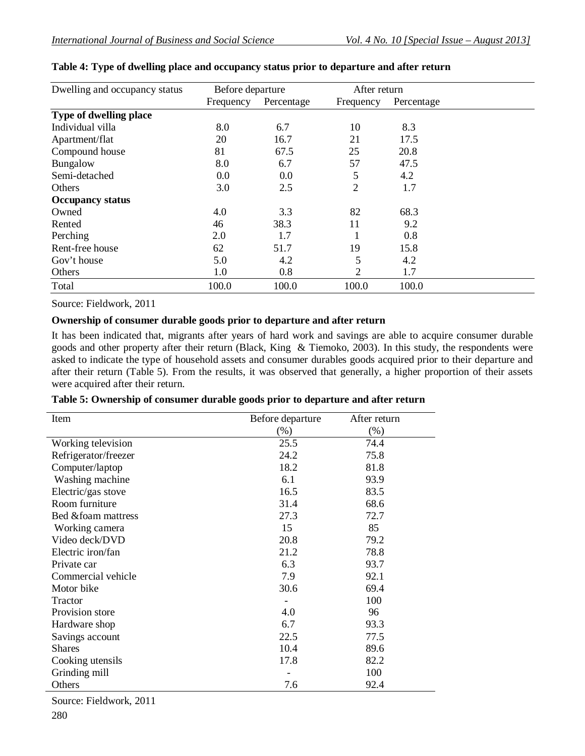| Dwelling and occupancy status | Before departure |            | After return |            |  |
|-------------------------------|------------------|------------|--------------|------------|--|
|                               | Frequency        | Percentage | Frequency    | Percentage |  |
| Type of dwelling place        |                  |            |              |            |  |
| Individual villa              | 8.0              | 6.7        | 10           | 8.3        |  |
| Apartment/flat                | 20               | 16.7       | 21           | 17.5       |  |
| Compound house                | 81               | 67.5       | 25           | 20.8       |  |
| Bungalow                      | 8.0              | 6.7        | 57           | 47.5       |  |
| Semi-detached                 | 0.0              | 0.0        | 5            | 4.2        |  |
| Others                        | 3.0              | 2.5        | 2            | 1.7        |  |
| <b>Occupancy status</b>       |                  |            |              |            |  |
| Owned                         | 4.0              | 3.3        | 82           | 68.3       |  |
| Rented                        | 46               | 38.3       | 11           | 9.2        |  |
| Perching                      | 2.0              | 1.7        |              | 0.8        |  |
| Rent-free house               | 62               | 51.7       | 19           | 15.8       |  |
| Gov't house                   | 5.0              | 4.2        | 5            | 4.2        |  |
| Others                        | 1.0              | 0.8        | 2            | 1.7        |  |
| Total                         | 100.0            | 100.0      | 100.0        | 100.0      |  |

### **Table 4: Type of dwelling place and occupancy status prior to departure and after return**

Source: Fieldwork, 2011

## **Ownership of consumer durable goods prior to departure and after return**

It has been indicated that, migrants after years of hard work and savings are able to acquire consumer durable goods and other property after their return (Black, King & Tiemoko, 2003). In this study, the respondents were asked to indicate the type of household assets and consumer durables goods acquired prior to their departure and after their return (Table 5). From the results, it was observed that generally, a higher proportion of their assets were acquired after their return.

| Item                 | Before departure | After return |
|----------------------|------------------|--------------|
|                      | $(\%)$           | $(\%)$       |
| Working television   | 25.5             | 74.4         |
| Refrigerator/freezer | 24.2             | 75.8         |
| Computer/laptop      | 18.2             | 81.8         |
| Washing machine      | 6.1              | 93.9         |
| Electric/gas stove   | 16.5             | 83.5         |
| Room furniture       | 31.4             | 68.6         |
| Bed &foam mattress   | 27.3             | 72.7         |
| Working camera       | 15               | 85           |
| Video deck/DVD       | 20.8             | 79.2         |
| Electric iron/fan    | 21.2             | 78.8         |
| Private car          | 6.3              | 93.7         |
| Commercial vehicle   | 7.9              | 92.1         |
| Motor bike           | 30.6             | 69.4         |
| Tractor              |                  | 100          |
| Provision store      | 4.0              | 96           |
| Hardware shop        | 6.7              | 93.3         |
| Savings account      | 22.5             | 77.5         |
| <b>Shares</b>        | 10.4             | 89.6         |
| Cooking utensils     | 17.8             | 82.2         |
| Grinding mill        |                  | 100          |
| Others               | 7.6              | 92.4         |

| Table 5: Ownership of consumer durable goods prior to departure and after return |  |  |  |  |
|----------------------------------------------------------------------------------|--|--|--|--|
|                                                                                  |  |  |  |  |

Source: Fieldwork, 2011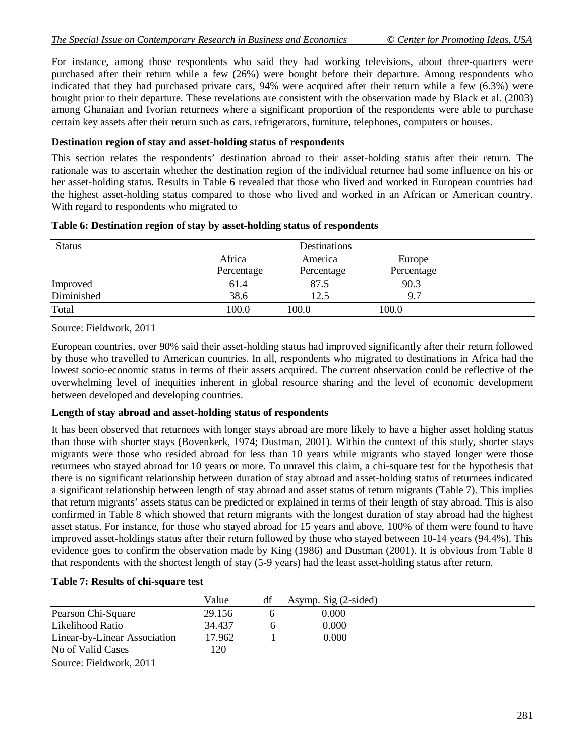For instance, among those respondents who said they had working televisions, about three-quarters were purchased after their return while a few (26%) were bought before their departure. Among respondents who indicated that they had purchased private cars, 94% were acquired after their return while a few (6.3%) were bought prior to their departure. These revelations are consistent with the observation made by Black et al. (2003) among Ghanaian and Ivorian returnees where a significant proportion of the respondents were able to purchase certain key assets after their return such as cars, refrigerators, furniture, telephones, computers or houses.

### **Destination region of stay and asset-holding status of respondents**

This section relates the respondents' destination abroad to their asset-holding status after their return. The rationale was to ascertain whether the destination region of the individual returnee had some influence on his or her asset-holding status. Results in Table 6 revealed that those who lived and worked in European countries had the highest asset-holding status compared to those who lived and worked in an African or American country. With regard to respondents who migrated to

|            | Destinations |            |  |
|------------|--------------|------------|--|
| Africa     | America      | Europe     |  |
| Percentage | Percentage   | Percentage |  |
| 61.4       | 87.5         | 90.3       |  |
| 38.6       | 12.5         | 9.7        |  |
| 100.0      | 100.0        | 100.0      |  |
|            |              |            |  |

#### **Table 6: Destination region of stay by asset-holding status of respondents**

Source: Fieldwork, 2011

European countries, over 90% said their asset-holding status had improved significantly after their return followed by those who travelled to American countries. In all, respondents who migrated to destinations in Africa had the lowest socio-economic status in terms of their assets acquired. The current observation could be reflective of the overwhelming level of inequities inherent in global resource sharing and the level of economic development between developed and developing countries.

#### **Length of stay abroad and asset-holding status of respondents**

It has been observed that returnees with longer stays abroad are more likely to have a higher asset holding status than those with shorter stays (Bovenkerk, 1974; Dustman, 2001). Within the context of this study, shorter stays migrants were those who resided abroad for less than 10 years while migrants who stayed longer were those returnees who stayed abroad for 10 years or more. To unravel this claim, a chi-square test for the hypothesis that there is no significant relationship between duration of stay abroad and asset-holding status of returnees indicated a significant relationship between length of stay abroad and asset status of return migrants (Table 7). This implies that return migrants' assets status can be predicted or explained in terms of their length of stay abroad. This is also confirmed in Table 8 which showed that return migrants with the longest duration of stay abroad had the highest asset status. For instance, for those who stayed abroad for 15 years and above, 100% of them were found to have improved asset-holdings status after their return followed by those who stayed between 10-14 years (94.4%). This evidence goes to confirm the observation made by King (1986) and Dustman (2001). It is obvious from Table 8 that respondents with the shortest length of stay (5-9 years) had the least asset-holding status after return.

#### **Table 7: Results of chi-square test**

|                              | Value  | df | Asymp. Sig $(2\text{-sided})$ |  |
|------------------------------|--------|----|-------------------------------|--|
| Pearson Chi-Square           | 29.156 |    | 0.000                         |  |
| Likelihood Ratio             | 34.437 |    | 0.000                         |  |
| Linear-by-Linear Association | 17.962 |    | 0.000                         |  |
| No of Valid Cases            | 120    |    |                               |  |
| Source: Fieldwork, 2011      |        |    |                               |  |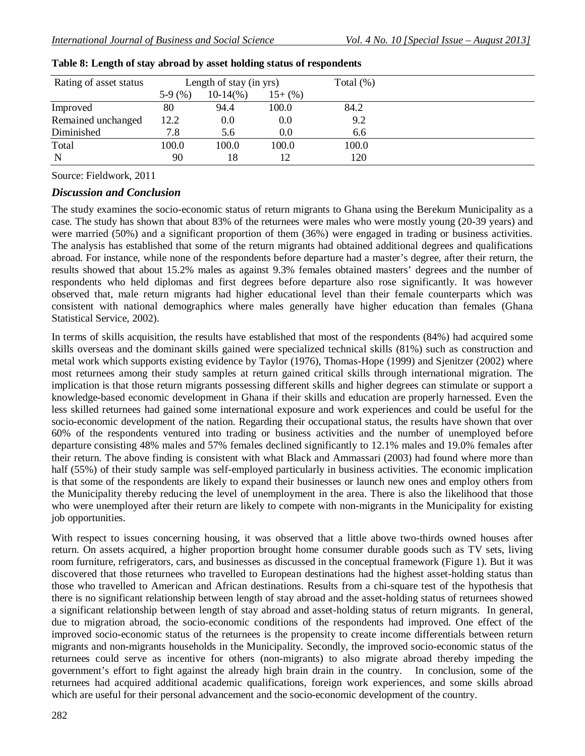| Rating of asset status |          | Length of stay (in yrs) |          | Total $(\%)$ |  |
|------------------------|----------|-------------------------|----------|--------------|--|
|                        | $5-9(%)$ | $10-14\%$               | $15+(%)$ |              |  |
| Improved               | 80       | 94.4                    | 100.0    | 84.2         |  |
| Remained unchanged     | 12.2     | 0.0                     | 0.0      | 9.2          |  |
| Diminished             | 7.8      | 5.6                     | 0.0      | 6.6          |  |
| Total                  | 100.0    | 100.0                   | 100.0    | 100.0        |  |
| N                      | 90       | 18                      | 12       | 120          |  |

|  |  | Table 8: Length of stay abroad by asset holding status of respondents |  |
|--|--|-----------------------------------------------------------------------|--|
|--|--|-----------------------------------------------------------------------|--|

Source: Fieldwork, 2011

## *Discussion and Conclusion*

The study examines the socio-economic status of return migrants to Ghana using the Berekum Municipality as a case. The study has shown that about 83% of the returnees were males who were mostly young (20-39 years) and were married (50%) and a significant proportion of them (36%) were engaged in trading or business activities. The analysis has established that some of the return migrants had obtained additional degrees and qualifications abroad. For instance, while none of the respondents before departure had a master's degree, after their return, the results showed that about 15.2% males as against 9.3% females obtained masters' degrees and the number of respondents who held diplomas and first degrees before departure also rose significantly. It was however observed that, male return migrants had higher educational level than their female counterparts which was consistent with national demographics where males generally have higher education than females (Ghana Statistical Service, 2002).

In terms of skills acquisition, the results have established that most of the respondents (84%) had acquired some skills overseas and the dominant skills gained were specialized technical skills (81%) such as construction and metal work which supports existing evidence by Taylor (1976), Thomas-Hope (1999) and Sjenitzer (2002) where most returnees among their study samples at return gained critical skills through international migration. The implication is that those return migrants possessing different skills and higher degrees can stimulate or support a knowledge-based economic development in Ghana if their skills and education are properly harnessed. Even the less skilled returnees had gained some international exposure and work experiences and could be useful for the socio-economic development of the nation. Regarding their occupational status, the results have shown that over 60% of the respondents ventured into trading or business activities and the number of unemployed before departure consisting 48% males and 57% females declined significantly to 12.1% males and 19.0% females after their return. The above finding is consistent with what Black and Ammassari (2003) had found where more than half (55%) of their study sample was self-employed particularly in business activities. The economic implication is that some of the respondents are likely to expand their businesses or launch new ones and employ others from the Municipality thereby reducing the level of unemployment in the area. There is also the likelihood that those who were unemployed after their return are likely to compete with non-migrants in the Municipality for existing job opportunities.

With respect to issues concerning housing, it was observed that a little above two-thirds owned houses after return. On assets acquired, a higher proportion brought home consumer durable goods such as TV sets, living room furniture, refrigerators, cars, and businesses as discussed in the conceptual framework (Figure 1). But it was discovered that those returnees who travelled to European destinations had the highest asset-holding status than those who travelled to American and African destinations. Results from a chi-square test of the hypothesis that there is no significant relationship between length of stay abroad and the asset-holding status of returnees showed a significant relationship between length of stay abroad and asset-holding status of return migrants. In general, due to migration abroad, the socio-economic conditions of the respondents had improved. One effect of the improved socio-economic status of the returnees is the propensity to create income differentials between return migrants and non-migrants households in the Municipality. Secondly, the improved socio-economic status of the returnees could serve as incentive for others (non-migrants) to also migrate abroad thereby impeding the government's effort to fight against the already high brain drain in the country. In conclusion, some of the returnees had acquired additional academic qualifications, foreign work experiences, and some skills abroad which are useful for their personal advancement and the socio-economic development of the country.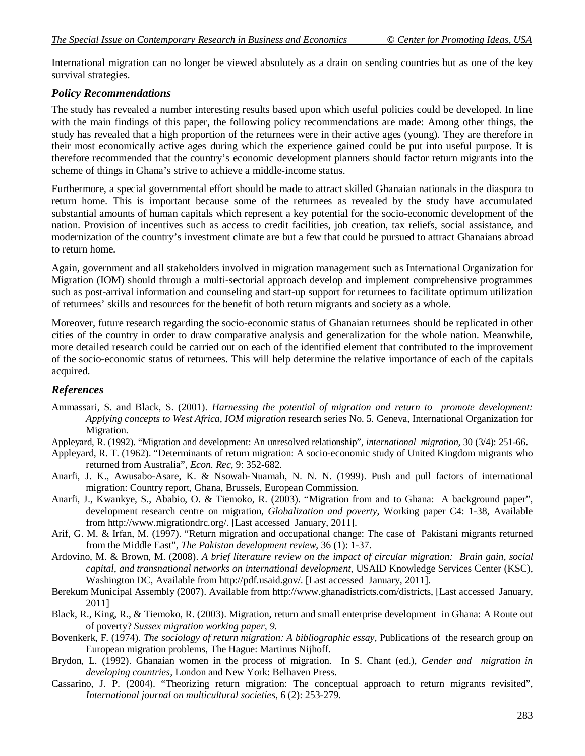International migration can no longer be viewed absolutely as a drain on sending countries but as one of the key survival strategies.

## *Policy Recommendations*

The study has revealed a number interesting results based upon which useful policies could be developed. In line with the main findings of this paper, the following policy recommendations are made: Among other things, the study has revealed that a high proportion of the returnees were in their active ages (young). They are therefore in their most economically active ages during which the experience gained could be put into useful purpose. It is therefore recommended that the country's economic development planners should factor return migrants into the scheme of things in Ghana's strive to achieve a middle-income status.

Furthermore, a special governmental effort should be made to attract skilled Ghanaian nationals in the diaspora to return home. This is important because some of the returnees as revealed by the study have accumulated substantial amounts of human capitals which represent a key potential for the socio-economic development of the nation. Provision of incentives such as access to credit facilities, job creation, tax reliefs, social assistance, and modernization of the country's investment climate are but a few that could be pursued to attract Ghanaians abroad to return home.

Again, government and all stakeholders involved in migration management such as International Organization for Migration (IOM) should through a multi-sectorial approach develop and implement comprehensive programmes such as post-arrival information and counseling and start-up support for returnees to facilitate optimum utilization of returnees' skills and resources for the benefit of both return migrants and society as a whole.

Moreover, future research regarding the socio-economic status of Ghanaian returnees should be replicated in other cities of the country in order to draw comparative analysis and generalization for the whole nation. Meanwhile, more detailed research could be carried out on each of the identified element that contributed to the improvement of the socio-economic status of returnees. This will help determine the relative importance of each of the capitals acquired.

## *References*

- Ammassari, S. and Black, S. (2001). *Harnessing the potential of migration and return to promote development: Applying concepts to West Africa, IOM migration* research series No. 5*.* Geneva, International Organization for Migration.
- Appleyard, R. (1992). "Migration and development: An unresolved relationship", *international migration,* 30 (3/4): 251-66.
- Appleyard, R. T. (1962). "Determinants of return migration: A socio-economic study of United Kingdom migrants who returned from Australia", *Econ. Rec,* 9: 352-682.
- Anarfi, J. K., Awusabo-Asare, K. & Nsowah-Nuamah, N. N. N. (1999). Push and pull factors of international migration: Country report, Ghana, Brussels, European Commission.
- Anarfi, J., Kwankye, S., Ababio, O. & Tiemoko, R. (2003). "Migration from and to Ghana: A background paper", development research centre on migration, *Globalization and poverty*, Working paper C4: 1-38, Available from http://www.migrationdrc.org/. [Last accessed January, 2011].
- Arif, G. M. & Irfan, M. (1997). "Return migration and occupational change: The case of Pakistani migrants returned from the Middle East", *The Pakistan development review*, 36 (1): 1-37.
- Ardovino, M. & Brown, M. (2008). *A brief literature review on the impact of circular migration: Brain gain, social capital, and transnational networks on international development,* USAID Knowledge Services Center (KSC), Washington DC, Available from http://pdf.usaid.gov/. [Last accessed January, 2011].
- Berekum Municipal Assembly (2007). Available from http://www.ghanadistricts.com/districts, [Last accessed January, 2011]
- Black, R., King, R., & Tiemoko, R. (2003). Migration, return and small enterprise development in Ghana: A Route out of poverty? *Sussex migration working paper, 9.*
- Bovenkerk, F. (1974). *The sociology of return migration: A bibliographic essay,* Publications of the research group on European migration problems, The Hague: Martinus Nijhoff.
- Brydon, L. (1992). Ghanaian women in the process of migration. In S. Chant (ed.), *Gender and migration in developing countries,* London and New York: Belhaven Press.
- Cassarino, J. P. (2004). "Theorizing return migration: The conceptual approach to return migrants revisited", *International journal on multicultural societies,* 6 (2): 253-279.